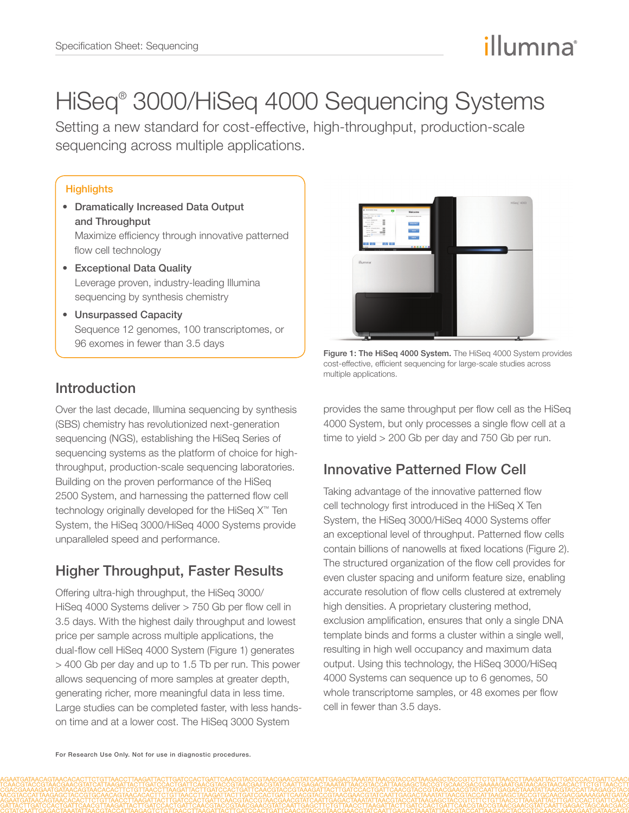# illumına

# HiSeq® 3000/HiSeq 4000 Sequencing Systems

Setting a new standard for cost-effective, high-throughput, production-scale sequencing across multiple applications.

## **Highlights**

- Dramatically Increased Data Output and Throughput Maximize efficiency through innovative patterned flow cell technology
- Exceptional Data Quality Leverage proven, industry-leading Illumina sequencing by synthesis chemistry
- Unsurpassed Capacity Sequence 12 genomes, 100 transcriptomes, or 96 exomes in fewer than 3.5 days

# Introduction

Over the last decade, Illumina sequencing by synthesis (SBS) chemistry has revolutionized next-generation sequencing (NGS), establishing the HiSeq Series of sequencing systems as the platform of choice for highthroughput, production-scale sequencing laboratories. Building on the proven performance of the HiSeq 2500 System, and harnessing the patterned flow cell technology originally developed for the HiSeq X™ Ten System, the HiSeq 3000/HiSeq 4000 Systems provide unparalleled speed and performance.

# Higher Throughput, Faster Results

Offering ultra-high throughput, the HiSeq 3000/ HiSeq 4000 Systems deliver > 750 Gb per flow cell in 3.5 days. With the highest daily throughput and lowest price per sample across multiple applications, the dual-flow cell HiSeq 4000 System (Figure 1) generates > 400 Gb per day and up to 1.5 Tb per run. This power allows sequencing of more samples at greater depth, generating richer, more meaningful data in less time. Large studies can be completed faster, with less handson time and at a lower cost. The HiSeq 3000 System



Figure 1: The HiSeq 4000 System. The HiSeq 4000 System provides cost-effective, efficient sequencing for large-scale studies across multiple applications.

provides the same throughput per flow cell as the HiSeq 4000 System, but only processes a single flow cell at a time to yield > 200 Gb per day and 750 Gb per run.

# Innovative Patterned Flow Cell

Taking advantage of the innovative patterned flow cell technology first introduced in the HiSeq X Ten System, the HiSeq 3000/HiSeq 4000 Systems offer an exceptional level of throughput. Patterned flow cells contain billions of nanowells at fixed locations (Figure 2). The structured organization of the flow cell provides for even cluster spacing and uniform feature size, enabling accurate resolution of flow cells clustered at extremely high densities. A proprietary clustering method, exclusion amplification, ensures that only a single DNA template binds and forms a cluster within a single well, resulting in high well occupancy and maximum data output. Using this technology, the HiSeq 3000/HiSeq 4000 Systems can sequence up to 6 genomes, 50 whole transcriptome samples, or 48 exomes per flow cell in fewer than 3.5 days.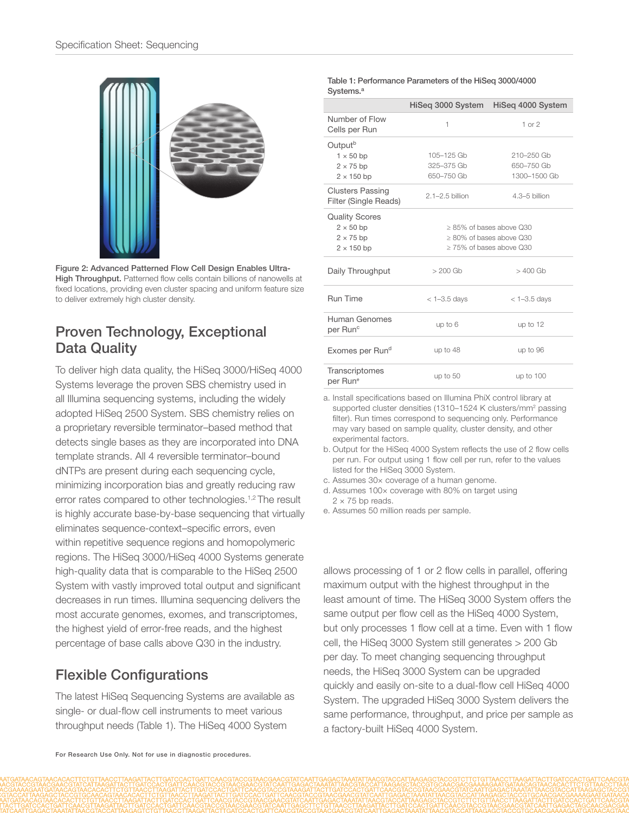

Figure 2: Advanced Patterned Flow Cell Design Enables Ultra-High Throughput. Patterned flow cells contain billions of nanowells at fixed locations, providing even cluster spacing and uniform feature size to deliver extremely high cluster density.

## Proven Technology, Exceptional Data Quality

To deliver high data quality, the HiSeq 3000/HiSeq 4000 Systems leverage the proven SBS chemistry used in all Illumina sequencing systems, including the widely adopted HiSeq 2500 System. SBS chemistry relies on a proprietary reversible terminator–based method that detects single bases as they are incorporated into DNA template strands. All 4 reversible terminator–bound dNTPs are present during each sequencing cycle, minimizing incorporation bias and greatly reducing raw error rates compared to other technologies.<sup>1,[2](#page-3-0)</sup> The result is highly accurate base-by-base sequencing that virtually eliminates sequence-context–specific errors, even within repetitive sequence regions and homopolymeric regions. The HiSeq 3000/HiSeq 4000 Systems generate high-quality data that is comparable to the HiSeq 2500 System with vastly improved total output and significant decreases in run times. Illumina sequencing delivers the most accurate genomes, exomes, and transcriptomes, the highest yield of error-free reads, and the highest percentage of base calls above Q30 in the industry.

## Flexible Configurations

The latest HiSeq Sequencing Systems are available as single- or dual-flow cell instruments to meet various throughput needs (Table 1). The HiSeq 4000 System

### Table 1: Performance Parameters of the HiSeq 3000/4000 Systems<sup>[a](#page-1-0)</sup>

|                                                  | HiSeg 3000 System             | HiSeg 4000 System |
|--------------------------------------------------|-------------------------------|-------------------|
| Number of Flow<br>Cells per Run                  | 1                             | $1$ or $2$        |
| Output <sup>b</sup>                              |                               |                   |
| $1 \times 50$ bp                                 | 105-125 Gb                    | 210-250 Gb        |
| $2 \times 75$ bp                                 | 325-375 Gb                    | 650-750 Gb        |
| $2 \times 150$ bp                                | 650-750 Gb                    | 1300-1500 Gb      |
| <b>Clusters Passing</b><br>Filter (Single Reads) | $2.1 - 2.5$ billion           | $4.3 - 5$ billion |
| <b>Quality Scores</b>                            |                               |                   |
| $2 \times 50$ bp                                 | $>85\%$ of bases above $030$  |                   |
| $2 \times 75$ bp                                 | $> 80\%$ of bases above $030$ |                   |
| $2 \times 150$ bp                                | $>$ 75% of bases above $0.30$ |                   |
| Daily Throughput                                 | $>200$ Gb                     | $>400$ Gb         |
| Run Time                                         | $<$ 1-3.5 days                | $<$ 1-3.5 days    |
| Human Genomes<br>per Run <sup>c</sup>            | up to $6$                     | up to 12          |
| Exomes per Run <sup>d</sup>                      | up to 48                      | up to 96          |
| Transcriptomes<br>per Run <sup>e</sup>           | up to $50$                    | up to $100$       |

<span id="page-1-0"></span>a. Install specifications based on Illumina PhiX control library at supported cluster densities (1310–1524 K clusters/mm<sup>2</sup> passing filter). Run times correspond to sequencing only. Performance may vary based on sample quality, cluster density, and other experimental factors.

- b. Output for the HiSeq 4000 System reflects the use of 2 flow cells per run. For output using 1 flow cell per run, refer to the values listed for the HiSeq 3000 System.
- <span id="page-1-1"></span>c. Assumes 30× coverage of a human genome.
- <span id="page-1-2"></span>d. Assumes 100× coverage with 80% on target using  $2 \times 75$  bp reads.
- <span id="page-1-3"></span>e. Assumes 50 million reads per sample.

allows processing of 1 or 2 flow cells in parallel, offering maximum output with the highest throughput in the least amount of time. The HiSeq 3000 System offers the same output per flow cell as the HiSeq 4000 System, but only processes 1 flow cell at a time. Even with 1 flow cell, the HiSeq 3000 System still generates > 200 Gb per day. To meet changing sequencing throughput needs, the HiSeq 3000 System can be upgraded quickly and easily on-site to a dual-flow cell HiSeq 4000 System. The upgraded HiSeq 3000 System delivers the same performance, throughput, and price per sample as a factory-built HiSeq 4000 System.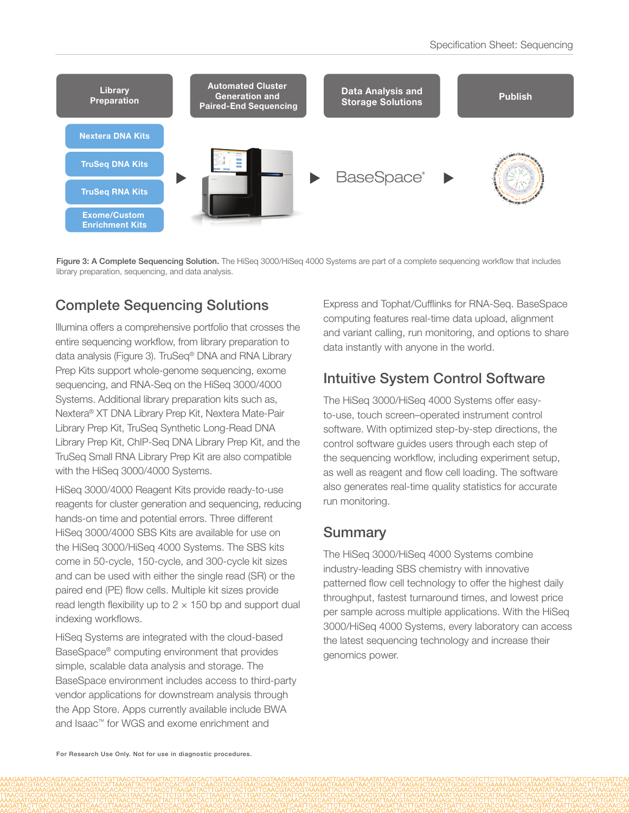

Figure 3: A Complete Sequencing Solution. The HiSeq 3000/HiSeq 4000 Systems are part of a complete sequencing workflow that includes library preparation, sequencing, and data analysis.

# Complete Sequencing Solutions

Illumina offers a comprehensive portfolio that crosses the entire sequencing workflow, from library preparation to data analysis (Figure 3). TruSeq® DNA and RNA Library Prep Kits support whole-genome sequencing, exome sequencing, and RNA-Seq on the HiSeq 3000/4000 Systems. Additional library preparation kits such as, Nextera® XT DNA Library Prep Kit, Nextera Mate-Pair Library Prep Kit, TruSeq Synthetic Long-Read DNA Library Prep Kit, ChIP-Seq DNA Library Prep Kit, and the TruSeq Small RNA Library Prep Kit are also compatible with the HiSeq 3000/4000 Systems.

HiSeq 3000/4000 Reagent Kits provide ready-to-use reagents for cluster generation and sequencing, reducing hands-on time and potential errors. Three different HiSeq 3000/4000 SBS Kits are available for use on the HiSeq 3000/HiSeq 4000 Systems. The SBS kits come in 50-cycle, 150-cycle, and 300-cycle kit sizes and can be used with either the single read (SR) or the paired end (PE) flow cells. Multiple kit sizes provide read length flexibility up to  $2 \times 150$  bp and support dual indexing workflows.

HiSeq Systems are integrated with the cloud-based BaseSpace® computing environment that provides simple, scalable data analysis and storage. The BaseSpace environment includes access to third-party vendor applications for downstream analysis through the App Store. Apps currently available include BWA and Isaac™ for WGS and exome enrichment and

Express and Tophat/Cufflinks for RNA-Seq. BaseSpace computing features real-time data upload, alignment and variant calling, run monitoring, and options to share data instantly with anyone in the world.

# Intuitive System Control Software

The HiSeq 3000/HiSeq 4000 Systems offer easyto-use, touch screen–operated instrument control software. With optimized step-by-step directions, the control software guides users through each step of the sequencing workflow, including experiment setup, as well as reagent and flow cell loading. The software also generates real-time quality statistics for accurate run monitoring.

## **Summary**

The HiSeq 3000/HiSeq 4000 Systems combine industry-leading SBS chemistry with innovative patterned flow cell technology to offer the highest daily throughput, fastest turnaround times, and lowest price per sample across multiple applications. With the HiSeq 3000/HiSeq 4000 Systems, every laboratory can access the latest sequencing technology and increase their genomics power.